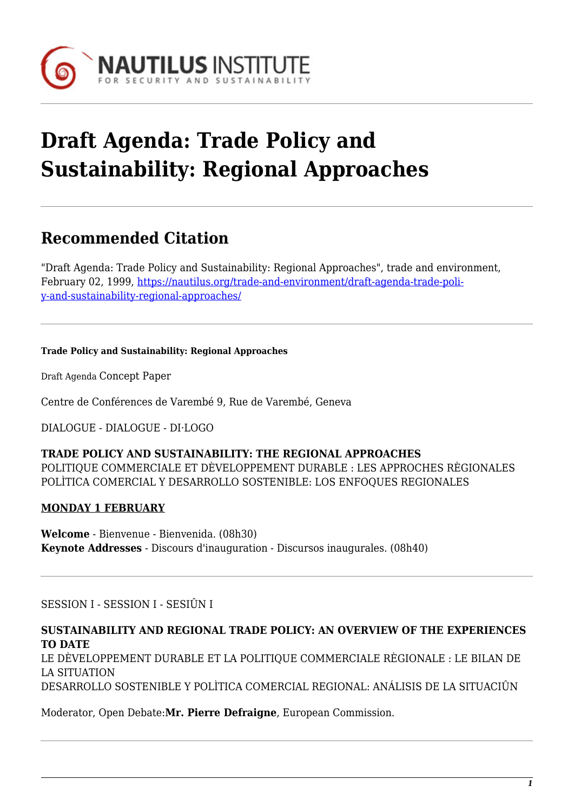

# **Draft Agenda: Trade Policy and Sustainability: Regional Approaches**

# **Recommended Citation**

"Draft Agenda: Trade Policy and Sustainability: Regional Approaches", trade and environment, February 02, 1999, [https://nautilus.org/trade-and-environment/draft-agenda-trade-poli](https://nautilus.org/trade-and-environment/draft-agenda-trade-policy-and-sustainability-regional-approaches/)[y-and-sustainability-regional-approaches/](https://nautilus.org/trade-and-environment/draft-agenda-trade-policy-and-sustainability-regional-approaches/)

### **Trade Policy and Sustainability: Regional Approaches**

Draft Agenda Concept Paper

Centre de Conférences de Varembé 9, Rue de Varembé, Geneva

DIALOGUE - DIALOGUE - DI·LOGO

**TRADE POLICY AND SUSTAINABILITY: THE REGIONAL APPROACHES** POLITIQUE COMMERCIALE ET DÈVELOPPEMENT DURABLE : LES APPROCHES RÈGIONALES POLÌTICA COMERCIAL Y DESARROLLO SOSTENIBLE: LOS ENFOQUES REGIONALES

# **MONDAY 1 FEBRUARY**

**Welcome** - Bienvenue - Bienvenida. (08h30) **Keynote Addresses** - Discours d'inauguration - Discursos inaugurales. (08h40)

SESSION I - SESSION I - SESIÛN I

### **SUSTAINABILITY AND REGIONAL TRADE POLICY: AN OVERVIEW OF THE EXPERIENCES TO DATE**

LE DÈVELOPPEMENT DURABLE ET LA POLITIQUE COMMERCIALE RÈGIONALE : LE BILAN DE LA SITUATION DESARROLLO SOSTENIBLE Y POLÌTICA COMERCIAL REGIONAL: ANÁLISIS DE LA SITUACIÛN

Moderator, Open Debate:**Mr. Pierre Defraigne**, European Commission.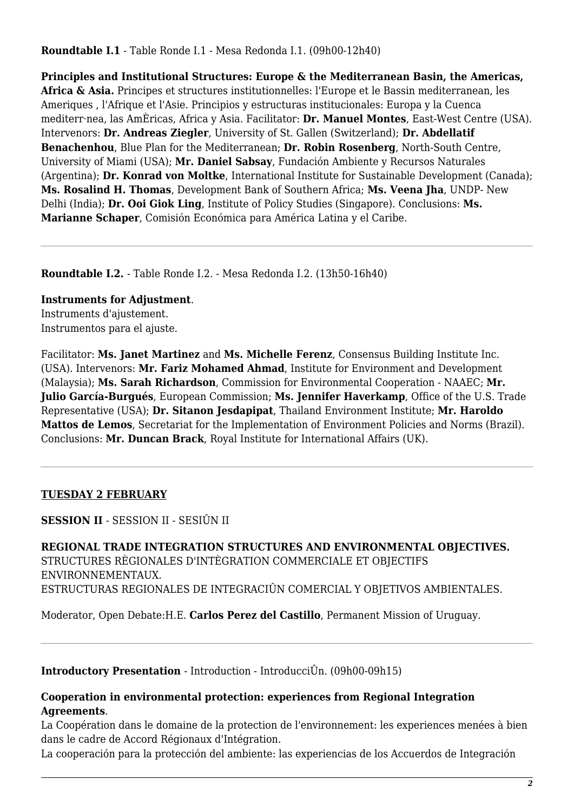### **Roundtable I.1** - Table Ronde I.1 - Mesa Redonda I.1. (09h00-12h40)

**Principles and Institutional Structures: Europe & the Mediterranean Basin, the Americas, Africa & Asia.** Principes et structures institutionnelles: l'Europe et le Bassin mediterranean, les Ameriques , l'Afrique et l'Asie. Principios y estructuras institucionales: Europa y la Cuenca mediterr·nea, las AmÈricas, Africa y Asia. Facilitator: **Dr. Manuel Montes**, East-West Centre (USA). Intervenors: **Dr. Andreas Ziegler**, University of St. Gallen (Switzerland); **Dr. Abdellatif Benachenhou**, Blue Plan for the Mediterranean; **Dr. Robin Rosenberg**, North-South Centre, University of Miami (USA); **Mr. Daniel Sabsay**, Fundación Ambiente y Recursos Naturales (Argentina); **Dr. Konrad von Moltke**, International Institute for Sustainable Development (Canada); **Ms. Rosalind H. Thomas**, Development Bank of Southern Africa; **Ms. Veena Jha**, UNDP- New Delhi (India); **Dr. Ooi Giok Ling**, Institute of Policy Studies (Singapore). Conclusions: **Ms. Marianne Schaper**, Comisión Económica para América Latina y el Caribe.

**Roundtable I.2.** - Table Ronde I.2. - Mesa Redonda I.2. (13h50-16h40)

#### **Instruments for Adjustment**. Instruments d'ajustement.

Instrumentos para el ajuste.

Facilitator: **Ms. Janet Martinez** and **Ms. Michelle Ferenz**, Consensus Building Institute Inc. (USA). Intervenors: **Mr. Fariz Mohamed Ahmad**, Institute for Environment and Development (Malaysia); **Ms. Sarah Richardson**, Commission for Environmental Cooperation - NAAEC; **Mr. Julio García-Burgués**, European Commission; **Ms. Jennifer Haverkamp**, Office of the U.S. Trade Representative (USA); **Dr. Sitanon Jesdapipat**, Thailand Environment Institute; **Mr. Haroldo Mattos de Lemos**, Secretariat for the Implementation of Environment Policies and Norms (Brazil). Conclusions: **Mr. Duncan Brack**, Royal Institute for International Affairs (UK).

# **TUESDAY 2 FEBRUARY**

**SESSION II** - SESSION II - SESIÛN II

**REGIONAL TRADE INTEGRATION STRUCTURES AND ENVIRONMENTAL OBJECTIVES.** STRUCTURES RÈGIONALES D'INTÈGRATION COMMERCIALE ET OBJECTIFS ENVIRONNEMENTAUX. ESTRUCTURAS REGIONALES DE INTEGRACIÛN COMERCIAL Y OBJETIVOS AMBIENTALES.

Moderator, Open Debate:H.E. **Carlos Perez del Castillo**, Permanent Mission of Uruguay.

**Introductory Presentation** - Introduction - IntroducciÛn. (09h00-09h15)

#### **Cooperation in environmental protection: experiences from Regional Integration Agreements**.

La Coopération dans le domaine de la protection de l'environnement: les experiences menées à bien dans le cadre de Accord Régionaux d'Intégration.

La cooperación para la protección del ambiente: las experiencias de los Accuerdos de Integración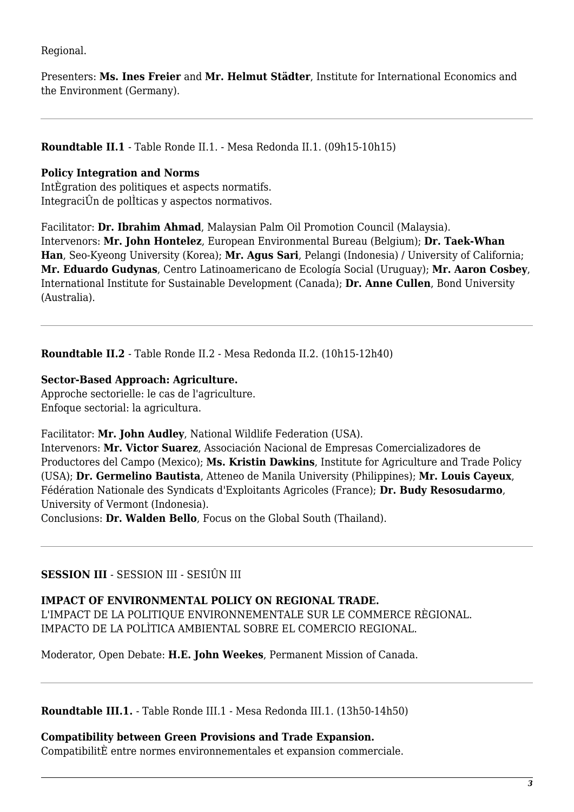Regional.

Presenters: **Ms. Ines Freier** and **Mr. Helmut Städter**, Institute for International Economics and the Environment (Germany).

**Roundtable II.1** - Table Ronde II.1. - Mesa Redonda II.1. (09h15-10h15)

## **Policy Integration and Norms**

IntÈgration des politiques et aspects normatifs. IntegraciÛn de polÌticas y aspectos normativos.

Facilitator: **Dr. Ibrahim Ahmad**, Malaysian Palm Oil Promotion Council (Malaysia). Intervenors: **Mr. John Hontelez**, European Environmental Bureau (Belgium); **Dr. Taek-Whan Han**, Seo-Kyeong University (Korea); **Mr. Agus Sari**, Pelangi (Indonesia) / University of California; **Mr. Eduardo Gudynas**, Centro Latinoamericano de Ecología Social (Uruguay); **Mr. Aaron Cosbey**, International Institute for Sustainable Development (Canada); **Dr. Anne Cullen**, Bond University (Australia).

**Roundtable II.2** - Table Ronde II.2 - Mesa Redonda II.2. (10h15-12h40)

# **Sector-Based Approach: Agriculture.**

Approche sectorielle: le cas de l'agriculture. Enfoque sectorial: la agricultura.

Facilitator: **Mr. John Audley**, National Wildlife Federation (USA).

Intervenors: **Mr. Victor Suarez**, Associación Nacional de Empresas Comercializadores de Productores del Campo (Mexico); **Ms. Kristin Dawkins**, Institute for Agriculture and Trade Policy (USA); **Dr. Germelino Bautista**, Atteneo de Manila University (Philippines); **Mr. Louis Cayeux**, Fédération Nationale des Syndicats d'Exploitants Agricoles (France); **Dr. Budy Resosudarmo**, University of Vermont (Indonesia).

Conclusions: **Dr. Walden Bello**, Focus on the Global South (Thailand).

#### **SESSION III** - SESSION III - SESIÛN III

#### **IMPACT OF ENVIRONMENTAL POLICY ON REGIONAL TRADE.**

L'IMPACT DE LA POLITIQUE ENVIRONNEMENTALE SUR LE COMMERCE RÈGIONAL. IMPACTO DE LA POLÌTICA AMBIENTAL SOBRE EL COMERCIO REGIONAL.

Moderator, Open Debate: **H.E. John Weekes**, Permanent Mission of Canada.

**Roundtable III.1.** - Table Ronde III.1 - Mesa Redonda III.1. (13h50-14h50)

#### **Compatibility between Green Provisions and Trade Expansion.**

CompatibilitÈ entre normes environnementales et expansion commerciale.